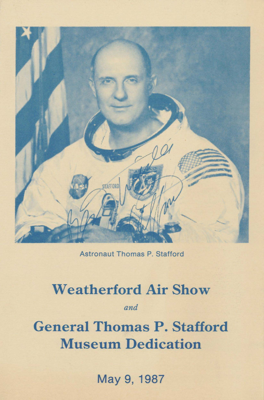

Astronaut Thomas P. Stafford

# **Weatherford Air Show**

*and* 

**General Thomas P. Stafford Museum Dedication** 

May 9, 1987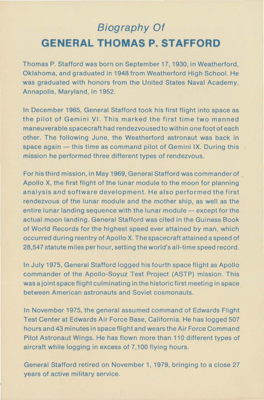## **Biography Of GENERAL THOMAS P. STAFFORD**

Thomas P. Stafford was born on September 17, 1930, in Weatherford, Oklahoma, and graduated in 1948 from Weatherford High School. He was graduated with honors from the United States Naval Academy, Annapolis, Maryland, in 1952.

In December 1965, General Stafford took his first flight into space as the pilot of Gemini y1. This marked the first time two manned maneuverable spacecraft had rendezvoused to within one foot of each other. The following June, the Weatherford astronaut was back in space again  $-$  this time as command pilot of Gemini IX. During this mission he performed three different types of rendezvous.

For his third mission, in May 1969, General Stafford was commander of Apollo X, the first flight of the lunar module to the moon for planning analysis and software development. He also performed the first rendezvous of the lunar module and the mother ship, as well as the entire lunar landing sequence with the lunar module - except for the actual moon landing. General Stafford was cited in the Guiness Book of World Records for the highest speed ever attained by man, which occurred during reentry of Apollo X. The spacecraft attained a speed of 28,547 statute miles per hour, setting the world's all-time speed record.

In July 1975, General Stafford logged his fourth space flight as Apollo commander of the Apollo-Soyuz Test Project (ASTP) mission. This was a joint space flight culminating in the historic first meeting in space between American astronauts and Soviet cosmonauts.

In November 1975, the general assumed command of Edwards Flight Test Center at Edwards Air Force Base, California. He has logged 507 hours and 43 minutes in space flight and wears the Air Force Command Pilot Astronaut Wings. He has flown more than 110 different types of aircraft while logging in excess of 7,100 flying hours.

General Stafford retired on November 1, 1979, bringing to a close 27 years of active military service.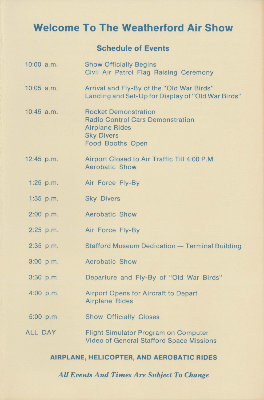### **Welcome To The Weatherford Air Show**

#### **Schedule of Events**

10:00 a.m. 10:05 a.m. 10:45 a.m. 12:45 p.m. 1:25  $p.m.$ 1 :35 p.m. 2:00 p.m. 2:25 p.m. 2:35 p.m. 3:00 p.m. 3:30 p.m. 4:00 p.m. 5:00 p.m. ALL DAY Show Officially Begins Civil Air Patrol Flag Raising Ceremony Arrival and Fly-By of the "Old War Birds" Landing and Set-Up for Display of "Old War Birds" Rocket Demonstration Radio Control Cars Demonstration Airplane Rides Sky Divers Food Booths Open Airport Closed to Air Traffic Till 4:00 P.M. Aerobatic Show Air Force Fly-By Sky Divers Aerobatic Show Air Force Fly-By Stafford Museum Dedication - Terminal Building Aerobatic Show Departure and Fly-By of "Old War Birds" Airport Opens for Aircraft to Depart Airplane Rides Show Officially Closes Flight Simulator Program on Computer Video of General Stafford Space Missions

#### **AIRPLANE, HELICOPTER, AND AEROBATIC RIDES**

*All Events And Times Are Subject To Change*